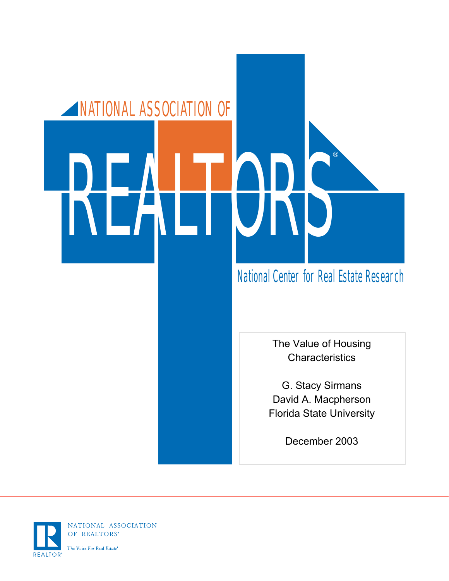# NATIONAL ASSOCIATION OF REALTORS®

## National Center for Real Estate Research

The Value of Housing **Characteristics** 

G. Stacy Sirmans David A. Macpherson Florida State University

December 2003



NATIONAL ASSOCIATION OF REALTORS®

The Voice For Real Estate<sup>®</sup>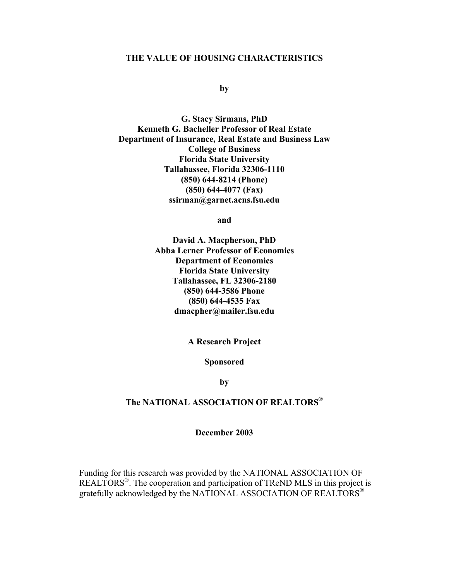### **THE VALUE OF HOUSING CHARACTERISTICS**

### **by**

**G. Stacy Sirmans, PhD Kenneth G. Bacheller Professor of Real Estate Department of Insurance, Real Estate and Business Law College of Business Florida State University Tallahassee, Florida 32306-1110 (850) 644-8214 (Phone) (850) 644-4077 (Fax) ssirman@garnet.acns.fsu.edu** 

**and** 

**David A. Macpherson, PhD Abba Lerner Professor of Economics Department of Economics Florida State University Tallahassee, FL 32306-2180 (850) 644-3586 Phone (850) 644-4535 Fax dmacpher@mailer.fsu.edu** 

**A Research Project** 

**Sponsored** 

**by** 

### **The NATIONAL ASSOCIATION OF REALTORS®**

### **December 2003**

Funding for this research was provided by the NATIONAL ASSOCIATION OF REALTORS<sup>®</sup>. The cooperation and participation of TReND MLS in this project is gratefully acknowledged by the NATIONAL ASSOCIATION OF REALTORS<sup>®</sup>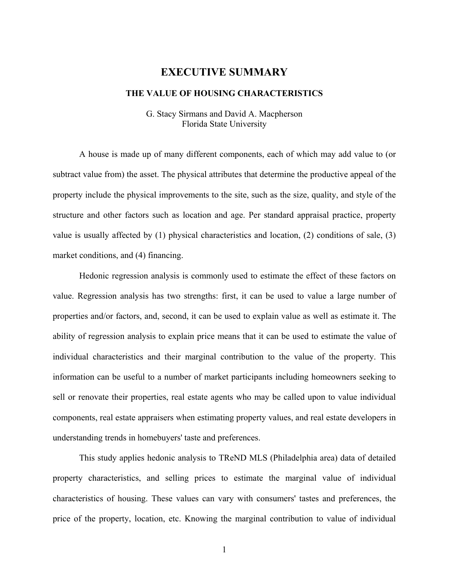# **EXECUTIVE SUMMARY**

### **THE VALUE OF HOUSING CHARACTERISTICS**

G. Stacy Sirmans and David A. Macpherson Florida State University

A house is made up of many different components, each of which may add value to (or subtract value from) the asset. The physical attributes that determine the productive appeal of the property include the physical improvements to the site, such as the size, quality, and style of the structure and other factors such as location and age. Per standard appraisal practice, property value is usually affected by (1) physical characteristics and location, (2) conditions of sale, (3) market conditions, and (4) financing.

Hedonic regression analysis is commonly used to estimate the effect of these factors on value. Regression analysis has two strengths: first, it can be used to value a large number of properties and/or factors, and, second, it can be used to explain value as well as estimate it. The ability of regression analysis to explain price means that it can be used to estimate the value of individual characteristics and their marginal contribution to the value of the property. This information can be useful to a number of market participants including homeowners seeking to sell or renovate their properties, real estate agents who may be called upon to value individual components, real estate appraisers when estimating property values, and real estate developers in understanding trends in homebuyers' taste and preferences.

This study applies hedonic analysis to TReND MLS (Philadelphia area) data of detailed property characteristics, and selling prices to estimate the marginal value of individual characteristics of housing. These values can vary with consumers' tastes and preferences, the price of the property, location, etc. Knowing the marginal contribution to value of individual

1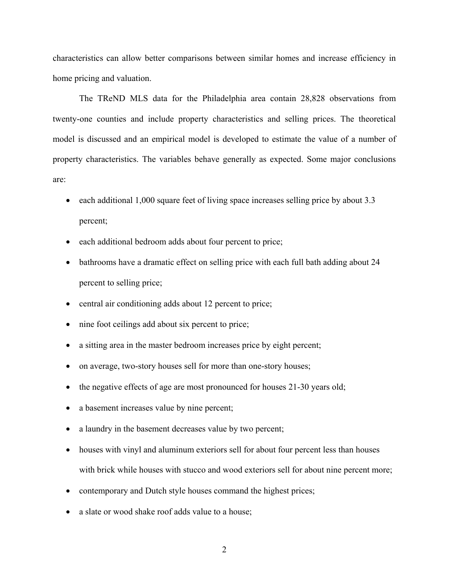characteristics can allow better comparisons between similar homes and increase efficiency in home pricing and valuation.

The TReND MLS data for the Philadelphia area contain 28,828 observations from twenty-one counties and include property characteristics and selling prices. The theoretical model is discussed and an empirical model is developed to estimate the value of a number of property characteristics. The variables behave generally as expected. Some major conclusions are:

- each additional 1,000 square feet of living space increases selling price by about 3.3 percent;
- each additional bedroom adds about four percent to price;
- bathrooms have a dramatic effect on selling price with each full bath adding about 24 percent to selling price;
- central air conditioning adds about 12 percent to price;
- nine foot ceilings add about six percent to price;
- a sitting area in the master bedroom increases price by eight percent;
- on average, two-story houses sell for more than one-story houses;
- the negative effects of age are most pronounced for houses 21-30 years old;
- a basement increases value by nine percent;
- a laundry in the basement decreases value by two percent;
- houses with vinyl and aluminum exteriors sell for about four percent less than houses with brick while houses with stucco and wood exteriors sell for about nine percent more;
- contemporary and Dutch style houses command the highest prices;
- a slate or wood shake roof adds value to a house;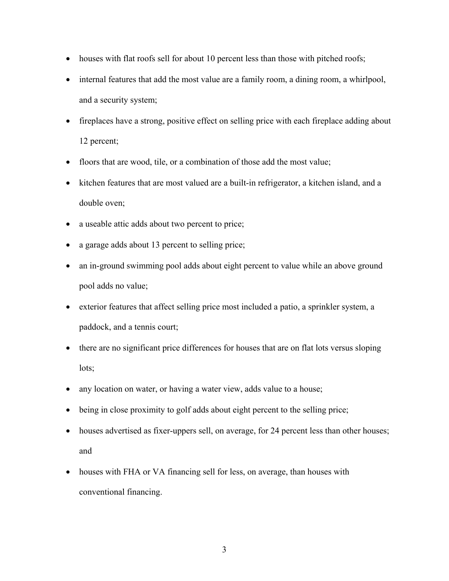- houses with flat roofs sell for about 10 percent less than those with pitched roofs;
- internal features that add the most value are a family room, a dining room, a whirlpool, and a security system;
- fireplaces have a strong, positive effect on selling price with each fireplace adding about 12 percent;
- floors that are wood, tile, or a combination of those add the most value;
- kitchen features that are most valued are a built-in refrigerator, a kitchen island, and a double oven;
- a useable attic adds about two percent to price;
- a garage adds about 13 percent to selling price;
- an in-ground swimming pool adds about eight percent to value while an above ground pool adds no value;
- exterior features that affect selling price most included a patio, a sprinkler system, a paddock, and a tennis court;
- there are no significant price differences for houses that are on flat lots versus sloping lots;
- any location on water, or having a water view, adds value to a house;
- being in close proximity to golf adds about eight percent to the selling price;
- houses advertised as fixer-uppers sell, on average, for 24 percent less than other houses; and
- houses with FHA or VA financing sell for less, on average, than houses with conventional financing.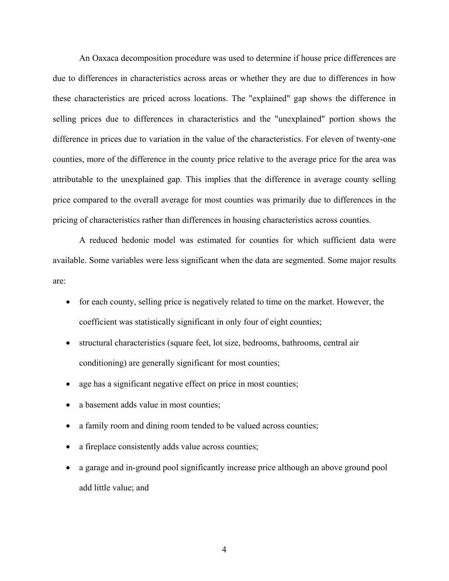An Oaxaca decomposition procedure was used to determine if house price differences are due to differences in characteristics across areas or whether they are due to differences in how these characteristics are priced across locations. The "explained" gap shows the difference in selling prices due to differences in characteristics and the "unexplained" portion shows the difference in prices due to variation in the value of the characteristics. For eleven of twenty-one counties, more of the difference in the county price relative to the average price for the area was attributable to the unexplained gap. This implies that the difference in average county selling price compared to the overall average for most counties was primarily due to differences in the pricing of characteristics rather than differences in housing characteristics across counties.

A reduced hedonic model was estimated for counties for which sufficient data were available. Some variables were less significant when the data are segmented. Some major results are:

- for each county, selling price is negatively related to time on the market. However, the coefficient was statistically significant in only four of eight counties;
- structural characteristics (square feet, lot size, bedrooms, bathrooms, central air conditioning) are generally significant for most counties;
- age has a significant negative effect on price in most counties;
- a basement adds value in most counties;
- a family room and dining room tended to be valued across counties;
- a fireplace consistently adds value across counties;
- a garage and in-ground pool significantly increase price although an above ground pool add little value; and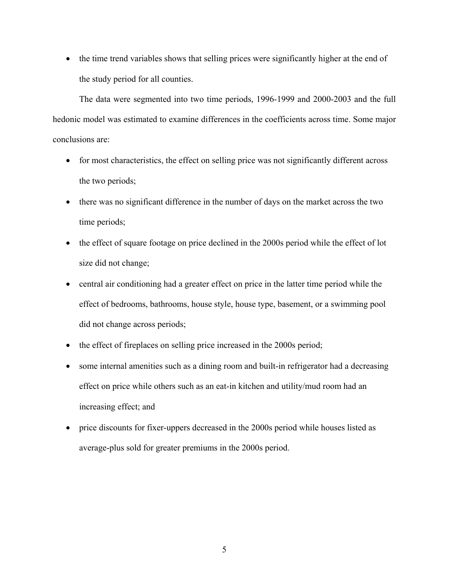• the time trend variables shows that selling prices were significantly higher at the end of the study period for all counties.

The data were segmented into two time periods, 1996-1999 and 2000-2003 and the full hedonic model was estimated to examine differences in the coefficients across time. Some major conclusions are:

- for most characteristics, the effect on selling price was not significantly different across the two periods;
- there was no significant difference in the number of days on the market across the two time periods;
- the effect of square footage on price declined in the 2000s period while the effect of lot size did not change;
- central air conditioning had a greater effect on price in the latter time period while the effect of bedrooms, bathrooms, house style, house type, basement, or a swimming pool did not change across periods;
- the effect of fireplaces on selling price increased in the 2000s period;
- some internal amenities such as a dining room and built-in refrigerator had a decreasing effect on price while others such as an eat-in kitchen and utility/mud room had an increasing effect; and
- price discounts for fixer-uppers decreased in the 2000s period while houses listed as average-plus sold for greater premiums in the 2000s period.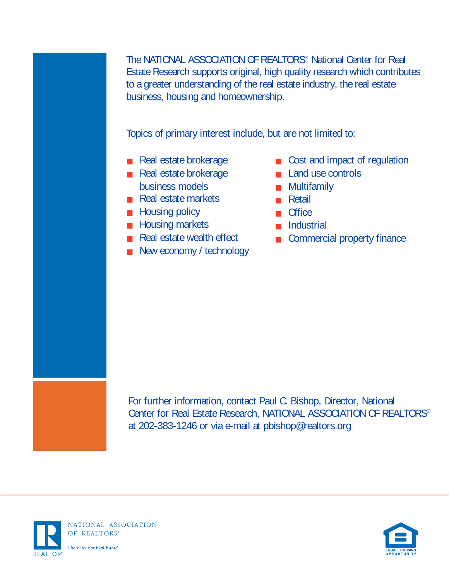The NATIONAL ASSOCIATION OF REALTORS® National Center for Real Estate Research supports original, high quality research which contributes to a greater understanding of the real estate industry, the real estate business, housing and homeownership.

Topics of primary interest include, but are not limited to:

- Real estate brokerage
- Real estate brokerage business models
- Real estate markets
- Housing policy
- Housing markets
- Real estate wealth effect
- New economy / technology
- Cost and impact of regulation
- Land use controls
- Multifamily
- Retail
- Office
- Industrial
- Commercial property finance

For further information, contact Paul C. Bishop, Director, National Center for Real Estate Research, NATIONAL ASSOCIATION OF REALTORS® at 202-383-1246 or via e-mail at pbishop@realtors.org



NATIONAL ASSOCIATION OF REALTORS\*

The Voice For Real Estate<sup>®</sup>